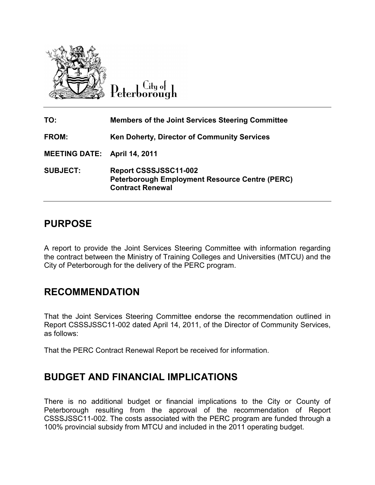

Citu o<del>l</del> eterborough

| TO:                                 | <b>Members of the Joint Services Steering Committee</b>                                                   |  |  |
|-------------------------------------|-----------------------------------------------------------------------------------------------------------|--|--|
| <b>FROM:</b>                        | <b>Ken Doherty, Director of Community Services</b>                                                        |  |  |
| <b>MEETING DATE: April 14, 2011</b> |                                                                                                           |  |  |
| <b>SUBJECT:</b>                     | Report CSSSJSSC11-002<br><b>Peterborough Employment Resource Centre (PERC)</b><br><b>Contract Renewal</b> |  |  |

### **PURPOSE**

A report to provide the Joint Services Steering Committee with information regarding the contract between the Ministry of Training Colleges and Universities (MTCU) and the City of Peterborough for the delivery of the PERC program.

### **RECOMMENDATION**

That the Joint Services Steering Committee endorse the recommendation outlined in Report CSSSJSSC11-002 dated April 14, 2011, of the Director of Community Services, as follows:

That the PERC Contract Renewal Report be received for information.

### **BUDGET AND FINANCIAL IMPLICATIONS**

There is no additional budget or financial implications to the City or County of Peterborough resulting from the approval of the recommendation of Report CSSSJSSC11-002. The costs associated with the PERC program are funded through a 100% provincial subsidy from MTCU and included in the 2011 operating budget.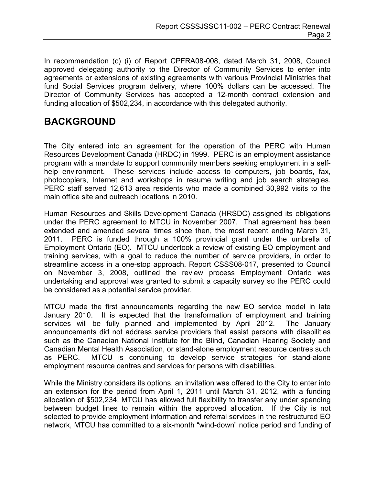In recommendation (c) (i) of Report CPFRA08-008, dated March 31, 2008, Council approved delegating authority to the Director of Community Services to enter into agreements or extensions of existing agreements with various Provincial Ministries that fund Social Services program delivery, where 100% dollars can be accessed. The Director of Community Services has accepted a 12-month contract extension and funding allocation of \$502,234, in accordance with this delegated authority.

## **BACKGROUND**

The City entered into an agreement for the operation of the PERC with Human Resources Development Canada (HRDC) in 1999. PERC is an employment assistance program with a mandate to support community members seeking employment in a selfhelp environment. These services include access to computers, job boards, fax, photocopiers, Internet and workshops in resume writing and job search strategies. PERC staff served 12,613 area residents who made a combined 30,992 visits to the main office site and outreach locations in 2010.

Human Resources and Skills Development Canada (HRSDC) assigned its obligations under the PERC agreement to MTCU in November 2007. That agreement has been extended and amended several times since then, the most recent ending March 31, 2011. PERC is funded through a 100% provincial grant under the umbrella of Employment Ontario (EO). MTCU undertook a review of existing EO employment and training services, with a goal to reduce the number of service providers, in order to streamline access in a one-stop approach. Report CSSS08-017, presented to Council on November 3, 2008, outlined the review process Employment Ontario was undertaking and approval was granted to submit a capacity survey so the PERC could be considered as a potential service provider.

MTCU made the first announcements regarding the new EO service model in late January 2010. It is expected that the transformation of employment and training services will be fully planned and implemented by April 2012. The January announcements did not address service providers that assist persons with disabilities such as the Canadian National Institute for the Blind, Canadian Hearing Society and Canadian Mental Health Association, or stand-alone employment resource centres such as PERC. MTCU is continuing to develop service strategies for stand-alone employment resource centres and services for persons with disabilities.

While the Ministry considers its options, an invitation was offered to the City to enter into an extension for the period from April 1, 2011 until March 31, 2012, with a funding allocation of \$502,234. MTCU has allowed full flexibility to transfer any under spending between budget lines to remain within the approved allocation. If the City is not selected to provide employment information and referral services in the restructured EO network, MTCU has committed to a six-month "wind-down" notice period and funding of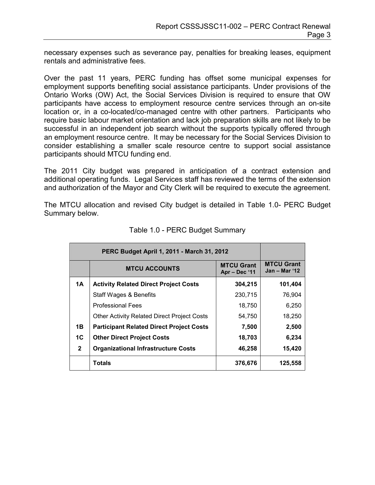necessary expenses such as severance pay, penalties for breaking leases, equipment rentals and administrative fees.

Over the past 11 years, PERC funding has offset some municipal expenses for employment supports benefiting social assistance participants. Under provisions of the Ontario Works (OW) Act, the Social Services Division is required to ensure that OW participants have access to employment resource centre services through an on-site location or, in a co-located/co-managed centre with other partners. Participants who require basic labour market orientation and lack job preparation skills are not likely to be successful in an independent job search without the supports typically offered through an employment resource centre. It may be necessary for the Social Services Division to consider establishing a smaller scale resource centre to support social assistance participants should MTCU funding end.

The 2011 City budget was prepared in anticipation of a contract extension and additional operating funds. Legal Services staff has reviewed the terms of the extension and authorization of the Mayor and City Clerk will be required to execute the agreement.

The MTCU allocation and revised City budget is detailed in Table 1.0- PERC Budget Summary below.

|                | <b>MTCU ACCOUNTS</b>                               | <b>MTCU Grant</b><br>Apr - Dec '11 | <b>MTCU Grant</b><br>Jan – Mar '12 |
|----------------|----------------------------------------------------|------------------------------------|------------------------------------|
| 1A             | <b>Activity Related Direct Project Costs</b>       | 304,215                            | 101,404                            |
|                | Staff Wages & Benefits                             | 230,715                            | 76,904                             |
|                | <b>Professional Fees</b>                           | 18,750                             | 6.250                              |
|                | <b>Other Activity Related Direct Project Costs</b> | 54,750                             | 18,250                             |
| 1B             | <b>Participant Related Direct Project Costs</b>    | 7,500                              | 2,500                              |
| 1 <sup>C</sup> | <b>Other Direct Project Costs</b>                  | 18,703                             | 6,234                              |
| $\mathbf{2}$   | <b>Organizational Infrastructure Costs</b>         | 46,258                             | 15,420                             |
|                | Totals                                             | 376,676                            | 125,558                            |

|  |  |  |  | Table 1.0 - PERC Budget Summary |
|--|--|--|--|---------------------------------|
|--|--|--|--|---------------------------------|